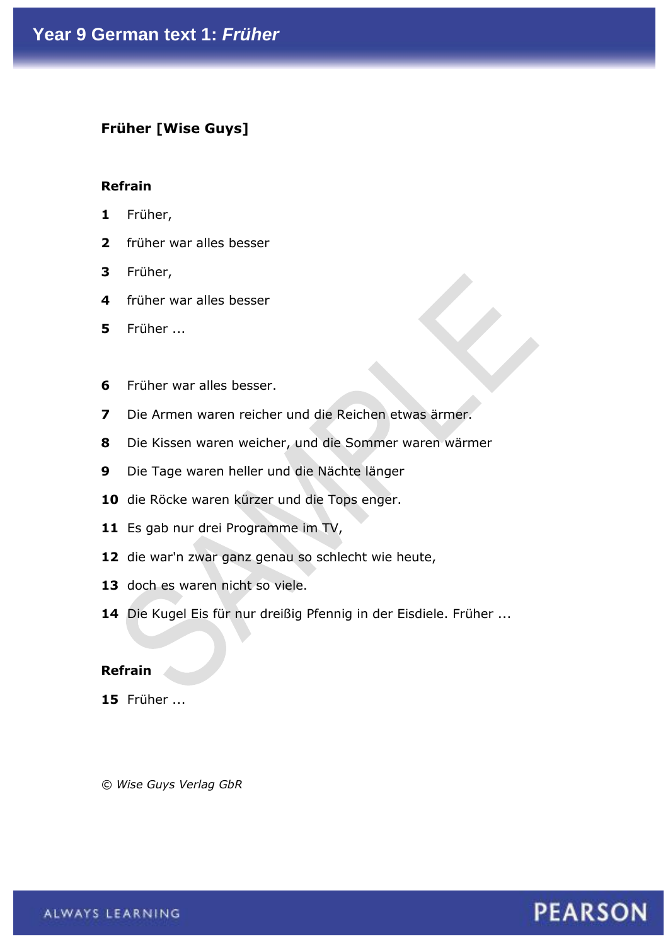### **Früher [Wise Guys]**

### **Refrain**

- **1** Früher,
- **2** früher war alles besser
- **3** Früher,
- **4** früher war alles besser
- **5** Früher ...
- **6** Früher war alles besser.
- **7** Die Armen waren reicher und die Reichen etwas ärmer.
- **8** Die Kissen waren weicher, und die Sommer waren wärmer
- **9** Die Tage waren heller und die Nächte länger
- **10** die Röcke waren kürzer und die Tops enger.
- 11 Es gab nur drei Programme im TV,
- **12** die war'n zwar ganz genau so schlecht wie heute,
- 13 doch es waren nicht so viele.
- **14** Die Kugel Eis für nur dreißig Pfennig in der Eisdiele. Früher ...

#### **Refrain**

**15** Früher ...

*© Wise Guys Verlag GbR*

## **PEARSON**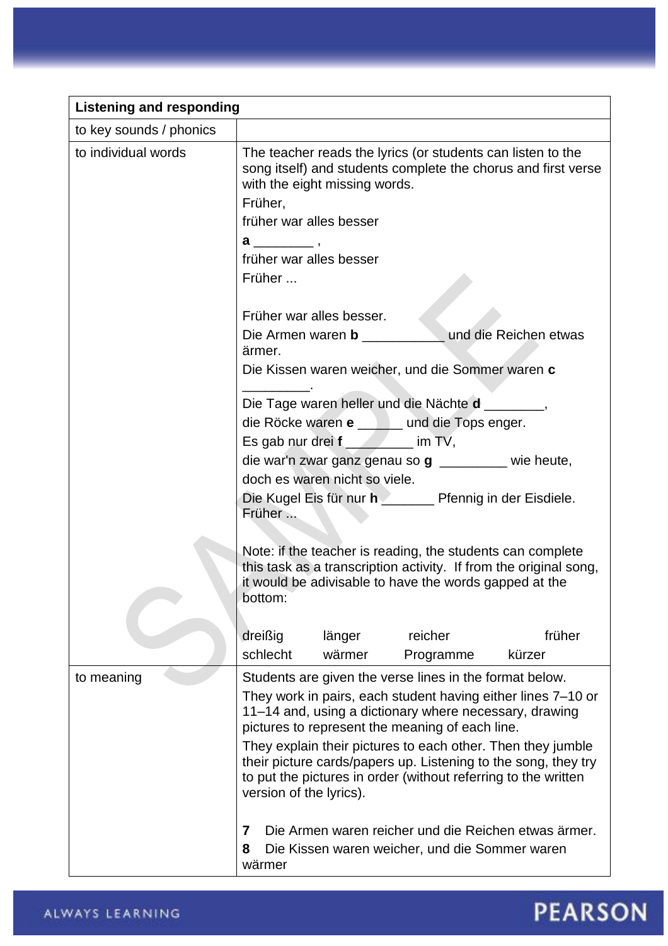| <b>Listening and responding</b> |                                                                                                                                                                                                                            |  |  |
|---------------------------------|----------------------------------------------------------------------------------------------------------------------------------------------------------------------------------------------------------------------------|--|--|
| to key sounds / phonics         |                                                                                                                                                                                                                            |  |  |
| to individual words             | The teacher reads the lyrics (or students can listen to the<br>song itself) and students complete the chorus and first verse<br>with the eight missing words.<br>Früher,                                                   |  |  |
|                                 | früher war alles besser                                                                                                                                                                                                    |  |  |
|                                 |                                                                                                                                                                                                                            |  |  |
|                                 | früher war alles besser                                                                                                                                                                                                    |  |  |
|                                 | Früher                                                                                                                                                                                                                     |  |  |
|                                 | Früher war alles besser.                                                                                                                                                                                                   |  |  |
|                                 | Die Armen waren b ____________ und die Reichen etwas<br>ärmer.                                                                                                                                                             |  |  |
|                                 | Die Kissen waren weicher, und die Sommer waren c                                                                                                                                                                           |  |  |
|                                 | Die Tage waren heller und die Nächte d ________,                                                                                                                                                                           |  |  |
|                                 | die Röcke waren e _____ und die Tops enger.                                                                                                                                                                                |  |  |
|                                 | Es gab nur drei f ________ im TV,                                                                                                                                                                                          |  |  |
|                                 | die war'n zwar ganz genau so $g$ ________ wie heute,<br>doch es waren nicht so viele.                                                                                                                                      |  |  |
|                                 | Die Kugel Eis für nur heimer Pfennig in der Eisdiele.<br>Früher                                                                                                                                                            |  |  |
|                                 | Note: if the teacher is reading, the students can complete<br>this task as a transcription activity. If from the original song,<br>it would be adivisable to have the words gapped at the<br>bottom:                       |  |  |
|                                 | früher<br>dreißig<br>reicher<br>länger                                                                                                                                                                                     |  |  |
|                                 | schlecht<br>wärmer<br>kürzer<br>Programme                                                                                                                                                                                  |  |  |
| to meaning                      | Students are given the verse lines in the format below.                                                                                                                                                                    |  |  |
|                                 | They work in pairs, each student having either lines 7-10 or<br>11–14 and, using a dictionary where necessary, drawing<br>pictures to represent the meaning of each line.                                                  |  |  |
|                                 | They explain their pictures to each other. Then they jumble<br>their picture cards/papers up. Listening to the song, they try<br>to put the pictures in order (without referring to the written<br>version of the lyrics). |  |  |
|                                 | Die Armen waren reicher und die Reichen etwas ärmer.<br>7<br>8<br>Die Kissen waren weicher, und die Sommer waren<br>wärmer                                                                                                 |  |  |

# **PEARSON**